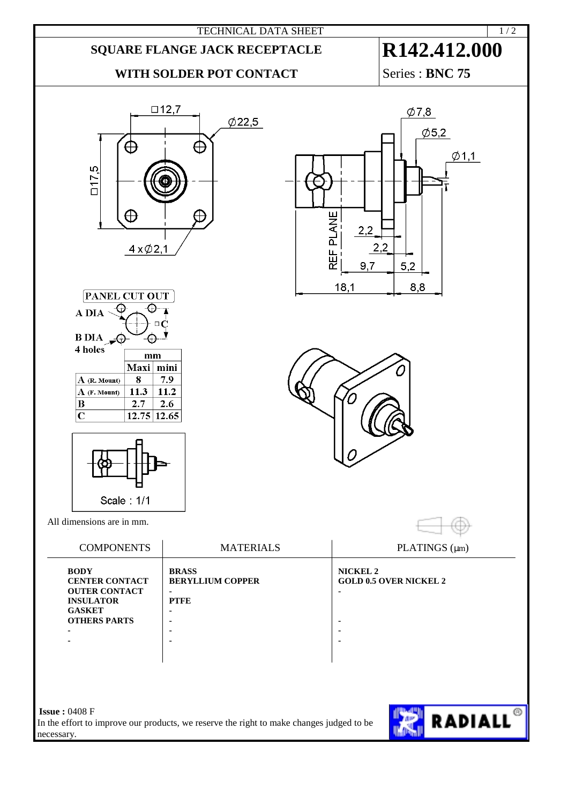



 $\bigoplus$ 

 $4 \times 02.1$ 

 $\oplus$ 

 $117,5$ 



|  | e, |
|--|----|
|  |    |

REF PLANE

 $18,1$ 

 $2,2$ 

9,7

 $2,2$ 

 $5,2$ 

8,8

| PLATINGS $(\mu m)$            |
|-------------------------------|
| <b>GOLD 0.5 OVER NICKEL 2</b> |
|                               |